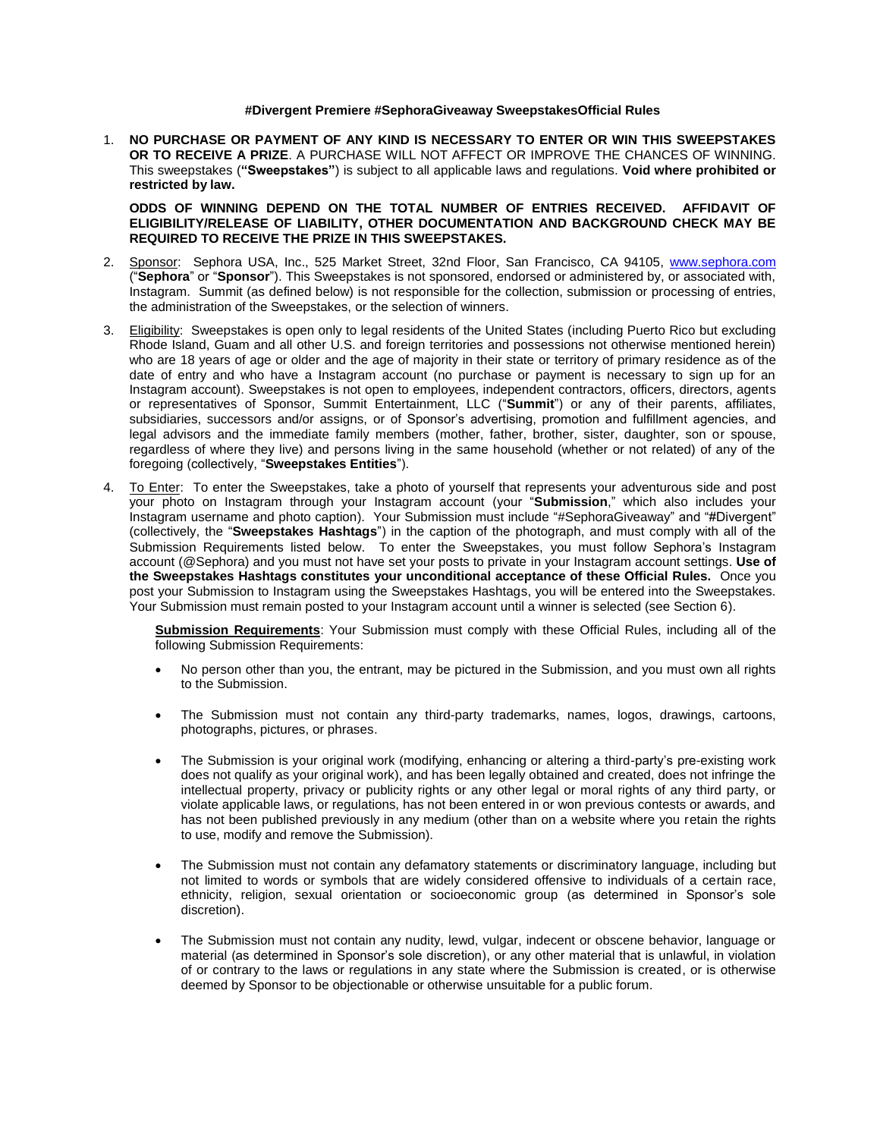## **#Divergent Premiere #SephoraGiveaway SweepstakesOfficial Rules**

1. **NO PURCHASE OR PAYMENT OF ANY KIND IS NECESSARY TO ENTER OR WIN THIS SWEEPSTAKES OR TO RECEIVE A PRIZE**. A PURCHASE WILL NOT AFFECT OR IMPROVE THE CHANCES OF WINNING. This sweepstakes (**"Sweepstakes"**) is subject to all applicable laws and regulations. **Void where prohibited or restricted by law.**

**ODDS OF WINNING DEPEND ON THE TOTAL NUMBER OF ENTRIES RECEIVED. AFFIDAVIT OF ELIGIBILITY/RELEASE OF LIABILITY, OTHER DOCUMENTATION AND BACKGROUND CHECK MAY BE REQUIRED TO RECEIVE THE PRIZE IN THIS SWEEPSTAKES.** 

- 2. Sponsor: Sephora USA, Inc., 525 Market Street, 32nd Floor, San Francisco, CA 94105, [www.sephora.com](http://www.sephora.com/) ("**Sephora**" or "**Sponsor**"). This Sweepstakes is not sponsored, endorsed or administered by, or associated with, Instagram. Summit (as defined below) is not responsible for the collection, submission or processing of entries, the administration of the Sweepstakes, or the selection of winners.
- 3. Eligibility: Sweepstakes is open only to legal residents of the United States (including Puerto Rico but excluding Rhode Island, Guam and all other U.S. and foreign territories and possessions not otherwise mentioned herein) who are 18 years of age or older and the age of majority in their state or territory of primary residence as of the date of entry and who have a Instagram account (no purchase or payment is necessary to sign up for an Instagram account). Sweepstakes is not open to employees, independent contractors, officers, directors, agents or representatives of Sponsor, Summit Entertainment, LLC ("**Summit**") or any of their parents, affiliates, subsidiaries, successors and/or assigns, or of Sponsor's advertising, promotion and fulfillment agencies, and legal advisors and the immediate family members (mother, father, brother, sister, daughter, son or spouse, regardless of where they live) and persons living in the same household (whether or not related) of any of the foregoing (collectively, "**Sweepstakes Entities**").
- 4. To Enter: To enter the Sweepstakes, take a photo of yourself that represents your adventurous side and post your photo on Instagram through your Instagram account (your "**Submission**," which also includes your Instagram username and photo caption). Your Submission must include "#SephoraGiveaway" and "#Divergent" (collectively, the "**Sweepstakes Hashtags**") in the caption of the photograph, and must comply with all of the Submission Requirements listed below. To enter the Sweepstakes, you must follow Sephora's Instagram account (@Sephora) and you must not have set your posts to private in your Instagram account settings. **Use of the Sweepstakes Hashtags constitutes your unconditional acceptance of these Official Rules.** Once you post your Submission to Instagram using the Sweepstakes Hashtags, you will be entered into the Sweepstakes. Your Submission must remain posted to your Instagram account until a winner is selected (see Section 6).

**Submission Requirements**: Your Submission must comply with these Official Rules, including all of the following Submission Requirements:

- No person other than you, the entrant, may be pictured in the Submission, and you must own all rights to the Submission.
- The Submission must not contain any third-party trademarks, names, logos, drawings, cartoons, photographs, pictures, or phrases.
- The Submission is your original work (modifying, enhancing or altering a third-party's pre-existing work does not qualify as your original work), and has been legally obtained and created, does not infringe the intellectual property, privacy or publicity rights or any other legal or moral rights of any third party, or violate applicable laws, or regulations, has not been entered in or won previous contests or awards, and has not been published previously in any medium (other than on a website where you retain the rights to use, modify and remove the Submission).
- The Submission must not contain any defamatory statements or discriminatory language, including but not limited to words or symbols that are widely considered offensive to individuals of a certain race, ethnicity, religion, sexual orientation or socioeconomic group (as determined in Sponsor's sole discretion).
- The Submission must not contain any nudity, lewd, vulgar, indecent or obscene behavior, language or material (as determined in Sponsor's sole discretion), or any other material that is unlawful, in violation of or contrary to the laws or regulations in any state where the Submission is created, or is otherwise deemed by Sponsor to be objectionable or otherwise unsuitable for a public forum.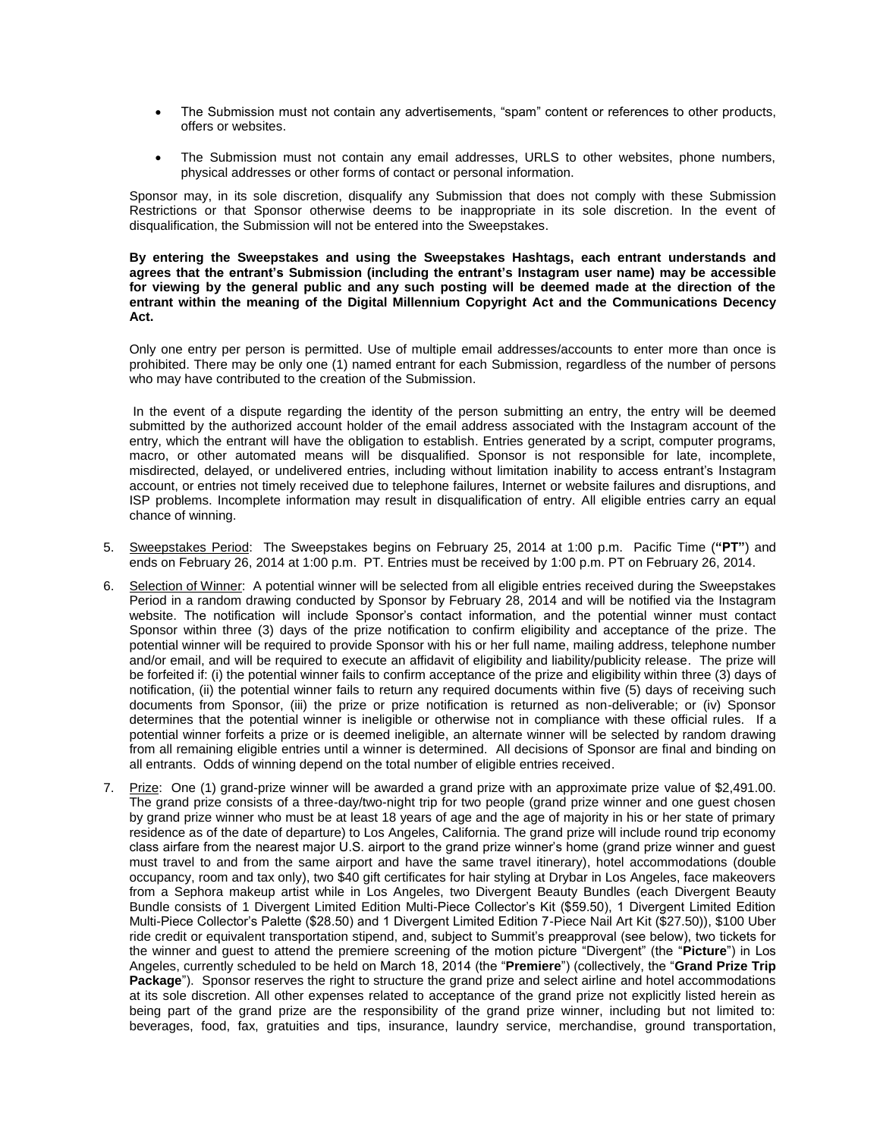- The Submission must not contain any advertisements, "spam" content or references to other products, offers or websites.
- The Submission must not contain any email addresses, URLS to other websites, phone numbers, physical addresses or other forms of contact or personal information.

Sponsor may, in its sole discretion, disqualify any Submission that does not comply with these Submission Restrictions or that Sponsor otherwise deems to be inappropriate in its sole discretion. In the event of disqualification, the Submission will not be entered into the Sweepstakes.

**By entering the Sweepstakes and using the Sweepstakes Hashtags, each entrant understands and agrees that the entrant's Submission (including the entrant's Instagram user name) may be accessible for viewing by the general public and any such posting will be deemed made at the direction of the entrant within the meaning of the Digital Millennium Copyright Act and the Communications Decency Act.** 

Only one entry per person is permitted. Use of multiple email addresses/accounts to enter more than once is prohibited. There may be only one (1) named entrant for each Submission, regardless of the number of persons who may have contributed to the creation of the Submission.

In the event of a dispute regarding the identity of the person submitting an entry, the entry will be deemed submitted by the authorized account holder of the email address associated with the Instagram account of the entry, which the entrant will have the obligation to establish. Entries generated by a script, computer programs, macro, or other automated means will be disqualified. Sponsor is not responsible for late, incomplete, misdirected, delayed, or undelivered entries, including without limitation inability to access entrant's Instagram account, or entries not timely received due to telephone failures, Internet or website failures and disruptions, and ISP problems. Incomplete information may result in disqualification of entry. All eligible entries carry an equal chance of winning.

- 5. Sweepstakes Period: The Sweepstakes begins on February 25, 2014 at 1:00 p.m. Pacific Time (**"PT"**) and ends on February 26, 2014 at 1:00 p.m. PT. Entries must be received by 1:00 p.m. PT on February 26, 2014.
- 6. Selection of Winner: A potential winner will be selected from all eligible entries received during the Sweepstakes Period in a random drawing conducted by Sponsor by February 28, 2014 and will be notified via the Instagram website. The notification will include Sponsor's contact information, and the potential winner must contact Sponsor within three (3) days of the prize notification to confirm eligibility and acceptance of the prize. The potential winner will be required to provide Sponsor with his or her full name, mailing address, telephone number and/or email, and will be required to execute an affidavit of eligibility and liability/publicity release. The prize will be forfeited if: (i) the potential winner fails to confirm acceptance of the prize and eligibility within three (3) days of notification, (ii) the potential winner fails to return any required documents within five (5) days of receiving such documents from Sponsor, (iii) the prize or prize notification is returned as non-deliverable; or (iv) Sponsor determines that the potential winner is ineligible or otherwise not in compliance with these official rules. If a potential winner forfeits a prize or is deemed ineligible, an alternate winner will be selected by random drawing from all remaining eligible entries until a winner is determined. All decisions of Sponsor are final and binding on all entrants. Odds of winning depend on the total number of eligible entries received.
- 7. Prize: One (1) grand-prize winner will be awarded a grand prize with an approximate prize value of \$2,491.00. The grand prize consists of a three-day/two-night trip for two people (grand prize winner and one guest chosen by grand prize winner who must be at least 18 years of age and the age of majority in his or her state of primary residence as of the date of departure) to Los Angeles, California. The grand prize will include round trip economy class airfare from the nearest major U.S. airport to the grand prize winner's home (grand prize winner and guest must travel to and from the same airport and have the same travel itinerary), hotel accommodations (double occupancy, room and tax only), two \$40 gift certificates for hair styling at Drybar in Los Angeles, face makeovers from a Sephora makeup artist while in Los Angeles, two Divergent Beauty Bundles (each Divergent Beauty Bundle consists of 1 Divergent Limited Edition Multi-Piece Collector's Kit (\$59.50), 1 Divergent Limited Edition Multi-Piece Collector's Palette (\$28.50) and 1 Divergent Limited Edition 7-Piece Nail Art Kit (\$27.50)), \$100 Uber ride credit or equivalent transportation stipend, and, subject to Summit's preapproval (see below), two tickets for the winner and guest to attend the premiere screening of the motion picture "Divergent" (the "**Picture**") in Los Angeles, currently scheduled to be held on March 18, 2014 (the "**Premiere**") (collectively, the "**Grand Prize Trip Package**"). Sponsor reserves the right to structure the grand prize and select airline and hotel accommodations at its sole discretion. All other expenses related to acceptance of the grand prize not explicitly listed herein as being part of the grand prize are the responsibility of the grand prize winner, including but not limited to: beverages, food, fax, gratuities and tips, insurance, laundry service, merchandise, ground transportation,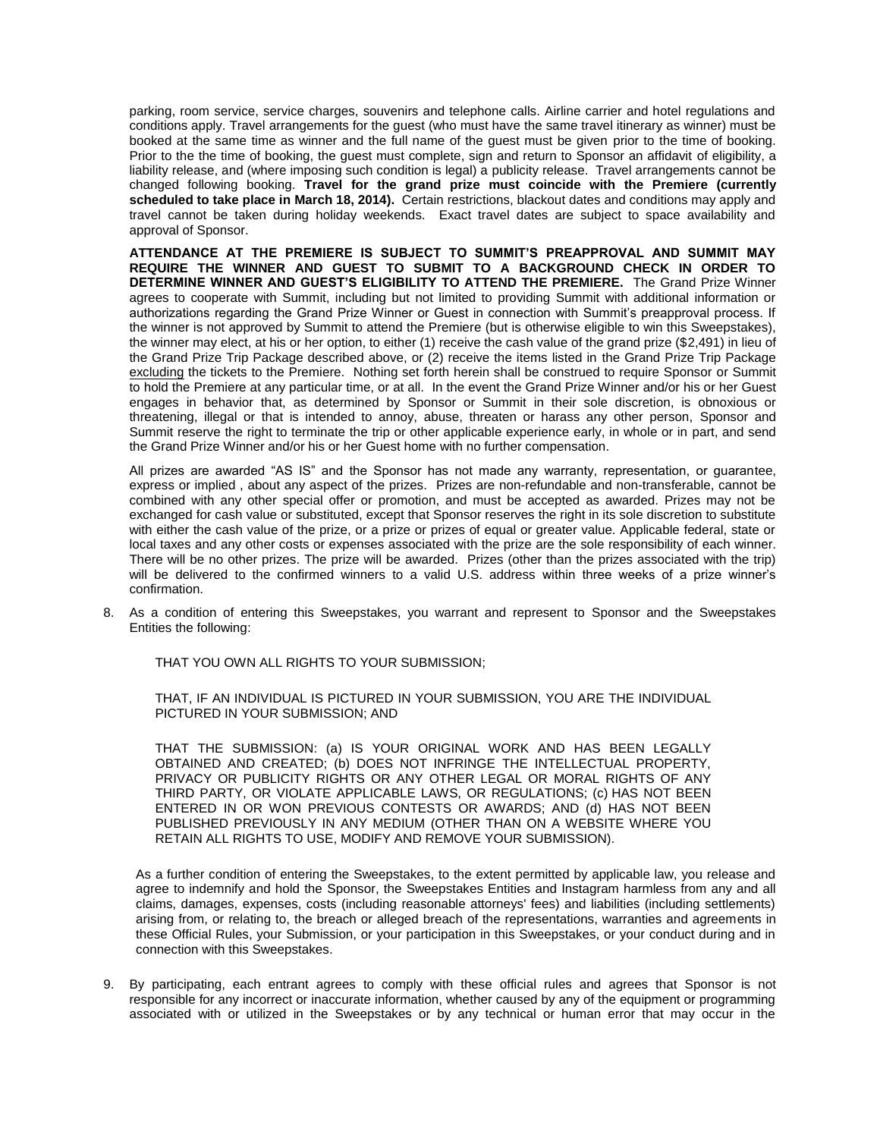parking, room service, service charges, souvenirs and telephone calls. Airline carrier and hotel regulations and conditions apply. Travel arrangements for the guest (who must have the same travel itinerary as winner) must be booked at the same time as winner and the full name of the guest must be given prior to the time of booking. Prior to the the time of booking, the guest must complete, sign and return to Sponsor an affidavit of eligibility, a liability release, and (where imposing such condition is legal) a publicity release. Travel arrangements cannot be changed following booking. **Travel for the grand prize must coincide with the Premiere (currently scheduled to take place in March 18, 2014).** Certain restrictions, blackout dates and conditions may apply and travel cannot be taken during holiday weekends. Exact travel dates are subject to space availability and approval of Sponsor.

**ATTENDANCE AT THE PREMIERE IS SUBJECT TO SUMMIT'S PREAPPROVAL AND SUMMIT MAY REQUIRE THE WINNER AND GUEST TO SUBMIT TO A BACKGROUND CHECK IN ORDER TO DETERMINE WINNER AND GUEST'S ELIGIBILITY TO ATTEND THE PREMIERE.** The Grand Prize Winner agrees to cooperate with Summit, including but not limited to providing Summit with additional information or authorizations regarding the Grand Prize Winner or Guest in connection with Summit's preapproval process. If the winner is not approved by Summit to attend the Premiere (but is otherwise eligible to win this Sweepstakes), the winner may elect, at his or her option, to either (1) receive the cash value of the grand prize (\$2,491) in lieu of the Grand Prize Trip Package described above, or (2) receive the items listed in the Grand Prize Trip Package excluding the tickets to the Premiere. Nothing set forth herein shall be construed to require Sponsor or Summit to hold the Premiere at any particular time, or at all. In the event the Grand Prize Winner and/or his or her Guest engages in behavior that, as determined by Sponsor or Summit in their sole discretion, is obnoxious or threatening, illegal or that is intended to annoy, abuse, threaten or harass any other person, Sponsor and Summit reserve the right to terminate the trip or other applicable experience early, in whole or in part, and send the Grand Prize Winner and/or his or her Guest home with no further compensation.

All prizes are awarded "AS IS" and the Sponsor has not made any warranty, representation, or guarantee, express or implied , about any aspect of the prizes. Prizes are non-refundable and non-transferable, cannot be combined with any other special offer or promotion, and must be accepted as awarded. Prizes may not be exchanged for cash value or substituted, except that Sponsor reserves the right in its sole discretion to substitute with either the cash value of the prize, or a prize or prizes of equal or greater value. Applicable federal, state or local taxes and any other costs or expenses associated with the prize are the sole responsibility of each winner. There will be no other prizes. The prize will be awarded. Prizes (other than the prizes associated with the trip) will be delivered to the confirmed winners to a valid U.S. address within three weeks of a prize winner's confirmation.

8. As a condition of entering this Sweepstakes, you warrant and represent to Sponsor and the Sweepstakes Entities the following:

THAT YOU OWN ALL RIGHTS TO YOUR SUBMISSION;

THAT, IF AN INDIVIDUAL IS PICTURED IN YOUR SUBMISSION, YOU ARE THE INDIVIDUAL PICTURED IN YOUR SUBMISSION; AND

THAT THE SUBMISSION: (a) IS YOUR ORIGINAL WORK AND HAS BEEN LEGALLY OBTAINED AND CREATED; (b) DOES NOT INFRINGE THE INTELLECTUAL PROPERTY, PRIVACY OR PUBLICITY RIGHTS OR ANY OTHER LEGAL OR MORAL RIGHTS OF ANY THIRD PARTY, OR VIOLATE APPLICABLE LAWS, OR REGULATIONS; (c) HAS NOT BEEN ENTERED IN OR WON PREVIOUS CONTESTS OR AWARDS; AND (d) HAS NOT BEEN PUBLISHED PREVIOUSLY IN ANY MEDIUM (OTHER THAN ON A WEBSITE WHERE YOU RETAIN ALL RIGHTS TO USE, MODIFY AND REMOVE YOUR SUBMISSION).

As a further condition of entering the Sweepstakes, to the extent permitted by applicable law, you release and agree to indemnify and hold the Sponsor, the Sweepstakes Entities and Instagram harmless from any and all claims, damages, expenses, costs (including reasonable attorneys' fees) and liabilities (including settlements) arising from, or relating to, the breach or alleged breach of the representations, warranties and agreements in these Official Rules, your Submission, or your participation in this Sweepstakes, or your conduct during and in connection with this Sweepstakes.

9. By participating, each entrant agrees to comply with these official rules and agrees that Sponsor is not responsible for any incorrect or inaccurate information, whether caused by any of the equipment or programming associated with or utilized in the Sweepstakes or by any technical or human error that may occur in the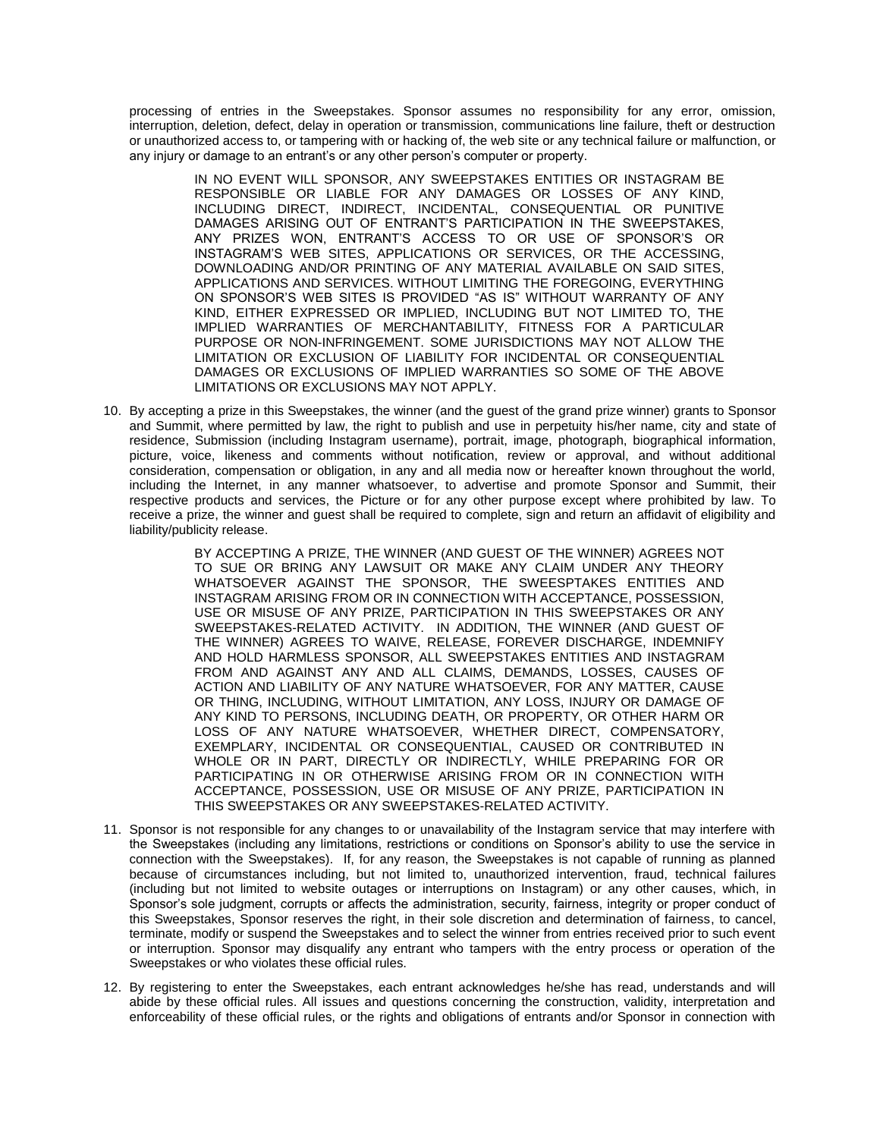processing of entries in the Sweepstakes. Sponsor assumes no responsibility for any error, omission, interruption, deletion, defect, delay in operation or transmission, communications line failure, theft or destruction or unauthorized access to, or tampering with or hacking of, the web site or any technical failure or malfunction, or any injury or damage to an entrant's or any other person's computer or property.

IN NO EVENT WILL SPONSOR, ANY SWEEPSTAKES ENTITIES OR INSTAGRAM BE RESPONSIBLE OR LIABLE FOR ANY DAMAGES OR LOSSES OF ANY KIND, INCLUDING DIRECT, INDIRECT, INCIDENTAL, CONSEQUENTIAL OR PUNITIVE DAMAGES ARISING OUT OF ENTRANT'S PARTICIPATION IN THE SWEEPSTAKES, ANY PRIZES WON, ENTRANT'S ACCESS TO OR USE OF SPONSOR'S OR INSTAGRAM'S WEB SITES, APPLICATIONS OR SERVICES, OR THE ACCESSING, DOWNLOADING AND/OR PRINTING OF ANY MATERIAL AVAILABLE ON SAID SITES, APPLICATIONS AND SERVICES. WITHOUT LIMITING THE FOREGOING, EVERYTHING ON SPONSOR'S WEB SITES IS PROVIDED "AS IS" WITHOUT WARRANTY OF ANY KIND, EITHER EXPRESSED OR IMPLIED, INCLUDING BUT NOT LIMITED TO, THE IMPLIED WARRANTIES OF MERCHANTABILITY, FITNESS FOR A PARTICULAR PURPOSE OR NON-INFRINGEMENT. SOME JURISDICTIONS MAY NOT ALLOW THE LIMITATION OR EXCLUSION OF LIABILITY FOR INCIDENTAL OR CONSEQUENTIAL DAMAGES OR EXCLUSIONS OF IMPLIED WARRANTIES SO SOME OF THE ABOVE LIMITATIONS OR EXCLUSIONS MAY NOT APPLY.

10. By accepting a prize in this Sweepstakes, the winner (and the guest of the grand prize winner) grants to Sponsor and Summit, where permitted by law, the right to publish and use in perpetuity his/her name, city and state of residence, Submission (including Instagram username), portrait, image, photograph, biographical information, picture, voice, likeness and comments without notification, review or approval, and without additional consideration, compensation or obligation, in any and all media now or hereafter known throughout the world, including the Internet, in any manner whatsoever, to advertise and promote Sponsor and Summit, their respective products and services, the Picture or for any other purpose except where prohibited by law. To receive a prize, the winner and guest shall be required to complete, sign and return an affidavit of eligibility and liability/publicity release.

> BY ACCEPTING A PRIZE, THE WINNER (AND GUEST OF THE WINNER) AGREES NOT TO SUE OR BRING ANY LAWSUIT OR MAKE ANY CLAIM UNDER ANY THEORY WHATSOEVER AGAINST THE SPONSOR, THE SWEESPTAKES ENTITIES AND INSTAGRAM ARISING FROM OR IN CONNECTION WITH ACCEPTANCE, POSSESSION, USE OR MISUSE OF ANY PRIZE, PARTICIPATION IN THIS SWEEPSTAKES OR ANY SWEEPSTAKES-RELATED ACTIVITY. IN ADDITION, THE WINNER (AND GUEST OF THE WINNER) AGREES TO WAIVE, RELEASE, FOREVER DISCHARGE, INDEMNIFY AND HOLD HARMLESS SPONSOR, ALL SWEEPSTAKES ENTITIES AND INSTAGRAM FROM AND AGAINST ANY AND ALL CLAIMS, DEMANDS, LOSSES, CAUSES OF ACTION AND LIABILITY OF ANY NATURE WHATSOEVER, FOR ANY MATTER, CAUSE OR THING, INCLUDING, WITHOUT LIMITATION, ANY LOSS, INJURY OR DAMAGE OF ANY KIND TO PERSONS, INCLUDING DEATH, OR PROPERTY, OR OTHER HARM OR LOSS OF ANY NATURE WHATSOEVER, WHETHER DIRECT, COMPENSATORY, EXEMPLARY, INCIDENTAL OR CONSEQUENTIAL, CAUSED OR CONTRIBUTED IN WHOLE OR IN PART, DIRECTLY OR INDIRECTLY, WHILE PREPARING FOR OR PARTICIPATING IN OR OTHERWISE ARISING FROM OR IN CONNECTION WITH ACCEPTANCE, POSSESSION, USE OR MISUSE OF ANY PRIZE, PARTICIPATION IN THIS SWEEPSTAKES OR ANY SWEEPSTAKES-RELATED ACTIVITY.

- 11. Sponsor is not responsible for any changes to or unavailability of the Instagram service that may interfere with the Sweepstakes (including any limitations, restrictions or conditions on Sponsor's ability to use the service in connection with the Sweepstakes). If, for any reason, the Sweepstakes is not capable of running as planned because of circumstances including, but not limited to, unauthorized intervention, fraud, technical failures (including but not limited to website outages or interruptions on Instagram) or any other causes, which, in Sponsor's sole judgment, corrupts or affects the administration, security, fairness, integrity or proper conduct of this Sweepstakes, Sponsor reserves the right, in their sole discretion and determination of fairness, to cancel, terminate, modify or suspend the Sweepstakes and to select the winner from entries received prior to such event or interruption. Sponsor may disqualify any entrant who tampers with the entry process or operation of the Sweepstakes or who violates these official rules.
- 12. By registering to enter the Sweepstakes, each entrant acknowledges he/she has read, understands and will abide by these official rules. All issues and questions concerning the construction, validity, interpretation and enforceability of these official rules, or the rights and obligations of entrants and/or Sponsor in connection with